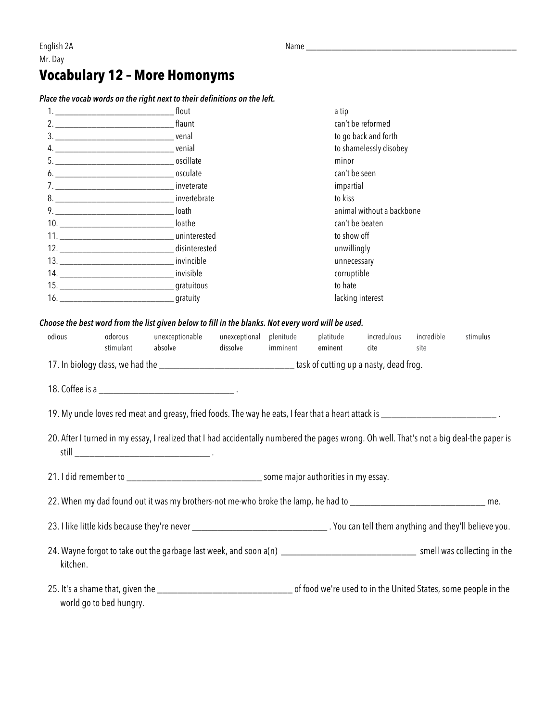English 2A Name **Name and American** Control of the Name of the Name of the Name of the Name of the Name of the Name of the Name of the Name of the Name of the Name of the Name of the Name of the Name of the Name of the Nam Mr. Day

## **Vocabulary 12 – More Homonyms**

*Place the vocab words on the right next to their definitions on the left.*

|          | flout            | a tip                     |  |  |
|----------|------------------|---------------------------|--|--|
|          |                  | can't be reformed         |  |  |
|          |                  | to go back and forth      |  |  |
|          |                  | to shamelessly disobey    |  |  |
|          |                  | minor                     |  |  |
|          |                  | can't be seen             |  |  |
|          |                  | impartial                 |  |  |
|          | 8.               | to kiss                   |  |  |
|          |                  | animal without a backbone |  |  |
| $10. \_$ | loathe           | can't be beaten           |  |  |
|          | 11. Uninterested | to show off               |  |  |
| 12.      | disinterested    | unwillingly               |  |  |
|          |                  | unnecessary               |  |  |
|          | 14. invisible    | corruptible               |  |  |
|          |                  | to hate                   |  |  |
|          |                  | lacking interest          |  |  |
|          |                  |                           |  |  |

*Choose the best word from the list given below to fill in the blanks. Not every word will be used.*

| odious                           | odorous   | unexceptionable | unexceptional plenitude |          | platitude                              | incredulous | incredible | stimulus |
|----------------------------------|-----------|-----------------|-------------------------|----------|----------------------------------------|-------------|------------|----------|
|                                  | stimulant | absolve         | dissolve                | imminent | eminent                                | cite.       | site       |          |
| 17. In biology class, we had the |           |                 |                         |          | task of cutting up a nasty, dead frog. |             |            |          |

18. Coffee is a \_\_\_\_\_\_\_\_\_\_\_\_\_\_\_\_\_\_\_\_\_\_\_\_\_\_\_ .

19. My uncle loves red meat and greasy, fried foods. The way he eats, I fear that a heart attack is \_\_\_\_\_\_\_\_\_\_\_\_\_\_\_\_\_\_\_\_\_\_\_\_\_\_\_\_\_\_\_\_\_.

20. After I turned in my essay, I realized that I had accidentally numbered the pages wrong. Oh well. That's not a big deal-the paper is still **still** 

21. I did remember to \_\_\_\_\_\_\_\_\_\_\_\_\_\_\_\_\_\_\_\_\_\_\_\_\_\_\_ some major authorities in my essay.

22. When my dad found out it was my brothers-not me-who broke the lamp, he had to \_\_\_\_\_\_\_\_\_\_\_\_\_\_\_\_\_\_\_\_\_\_\_\_\_\_\_\_\_\_\_\_\_ me.

23. I like little kids because they're never \_\_\_\_\_\_\_\_\_\_\_\_\_\_\_\_\_\_\_\_\_\_\_\_\_\_\_ . You can tell them anything and they'll believe you.

- 24. Wayne forgot to take out the garbage last week, and soon a(n) \_\_\_\_\_\_\_\_\_\_\_\_\_\_\_\_\_\_\_\_\_\_\_\_\_\_\_ smell was collecting in the kitchen.
- 25. It's a shame that, given the \_\_\_\_\_\_\_\_\_\_\_\_\_\_\_\_\_\_\_\_\_\_\_\_\_\_\_ of food we're used to in the United States, some people in the world go to bed hungry.